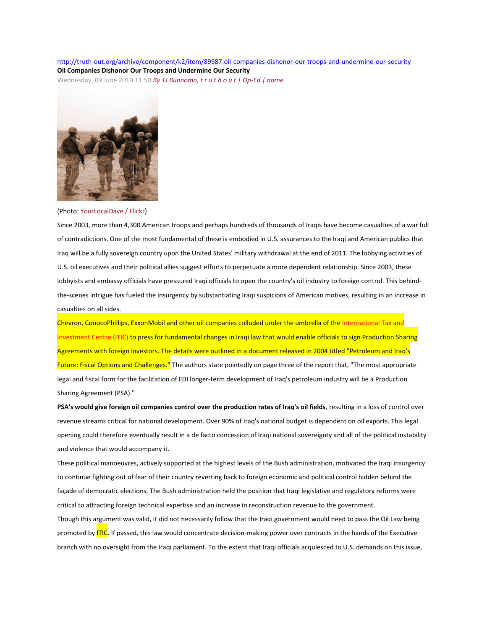## <http://truth-out.org/archive/component/k2/item/89987:oil-companies-dishonor-our-troops-and-undermine-our-security>

**Oil Companies Dishonor Our Troops and Undermine Our Security**  Wednesday, 09 June 2010 11:50 *B[y TJ Buonomo,](http://truth-out.org/archive/component/k2/itemlist/user/38202?Itemid=252) t r u t h o u t | Op-Ed | name.* 



(Photo[: YourLocalDave / Flickr\)](http://www.flickr.com/photos/yourlocaldave/43285966/)

Since 2003, more than 4,300 American troops and perhaps hundreds of thousands of Iraqis have become casualties of a war full of contradictions. One of the most fundamental of these is embodied in U.S. assurances to the Iraqi and American publics that Iraq will be a fully sovereign country upon the United States' military withdrawal at the end of 2011. The lobbying activities of U.S. oil executives and their political allies suggest efforts to perpetuate a more dependent relationship. Since 2003, these lobbyists and embassy officials have pressured Iraqi officials to open the country's oil industry to foreign control. This behindthe-scenes intrigue has fueled the insurgency by substantiating Iraqi suspicions of American motives, resulting in an increase in casualties on all sides.

Chevron, ConocoPhillips, ExxonMobil and other oil companies colluded under the umbrella of the International Tax and Investment Centre (ITIC) to press for fundamental changes in Iraqi law that would enable officials to sign Production Sharing Agreements with foreign investors. The details were outlined in a document released in 2004 titled "Petroleum and Iraq's Future: Fiscal Options and Challenges." The authors state pointedly on page three of the report that, "The most appropriate legal and fiscal form for the facilitation of FDI longer-term development of Iraq's petroleum industry will be a Production Sharing Agreement (PSA)."

**PSA's would give foreign oil companies control over the production rates of Iraq's oil fields**, resulting in a loss of control over revenue streams critical for national development. Over 90% of Iraq's national budget is dependent on oil exports. This legal opening could therefore eventually result in a de facto concession of Iraqi national sovereignty and all of the political instability and violence that would accompany it.

These political manoeuvres, actively supported at the highest levels of the Bush administration, motivated the Iraqi insurgency to continue fighting out of fear of their country reverting back to foreign economic and political control hidden behind the façade of democratic elections. The Bush administration held the position that Iraqi legislative and regulatory reforms were critical to attracting foreign technical expertise and an increase in reconstruction revenue to the government. Though this argument was valid, it did not necessarily follow that the Iraqi government would need to pass the Oil Law being promoted by **ITIC**. If passed, this law would concentrate decision-making power over contracts in the hands of the Executive branch with no oversight from the Iraqi parliament. To the extent that Iraqi officials acquiesced to U.S. demands on this issue,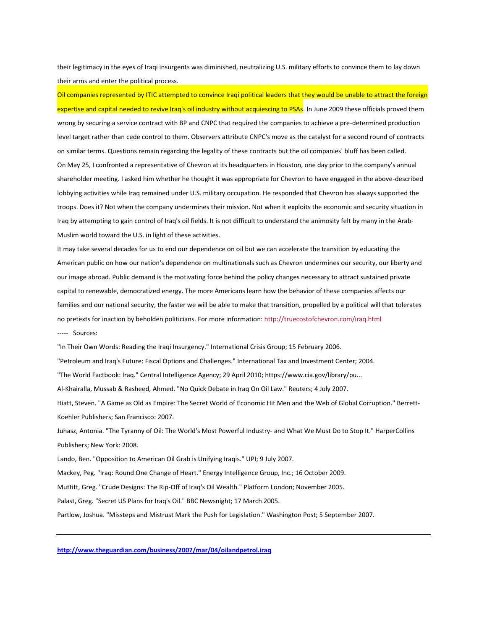their legitimacy in the eyes of Iraqi insurgents was diminished, neutralizing U.S. military efforts to convince them to lay down their arms and enter the political process.

Oil companies represented by ITIC attempted to convince Iraqi political leaders that they would be unable to attract the foreign expertise and capital needed to revive Iraq's oil industry without acquiescing to PSAs. In June 2009 these officials proved them wrong by securing a service contract with BP and CNPC that required the companies to achieve a pre-determined production level target rather than cede control to them. Observers attribute CNPC's move as the catalyst for a second round of contracts on similar terms. Questions remain regarding the legality of these contracts but the oil companies' bluff has been called. On May 25, I confronted a representative of Chevron at its headquarters in Houston, one day prior to the company's annual shareholder meeting. I asked him whether he thought it was appropriate for Chevron to have engaged in the above-described lobbying activities while Iraq remained under U.S. military occupation. He responded that Chevron has always supported the troops. Does it? Not when the company undermines their mission. Not when it exploits the economic and security situation in Iraq by attempting to gain control of Iraq's oil fields. It is not difficult to understand the animosity felt by many in the Arab-Muslim world toward the U.S. in light of these activities.

It may take several decades for us to end our dependence on oil but we can accelerate the transition by educating the American public on how our nation's dependence on multinationals such as Chevron undermines our security, our liberty and our image abroad. Public demand is the motivating force behind the policy changes necessary to attract sustained private capital to renewable, democratized energy. The more Americans learn how the behavior of these companies affects our families and our national security, the faster we will be able to make that transition, propelled by a political will that tolerates no pretexts for inaction by beholden politicians. For more information[: http://truecostofchevron.com/iraq.html](http://truecostofchevron.com/iraq.html)

----- Sources:

"In Their Own Words: Reading the Iraqi Insurgency." International Crisis Group; 15 February 2006.

"Petroleum and Iraq's Future: Fiscal Options and Challenges." International Tax and Investment Center; 2004.

"The World Factbook: Iraq." Central Intelligence Agency; 29 April 2010; https://www.cia.gov/library/pu...

Al-Khairalla, Mussab & Rasheed, Ahmed. "No Quick Debate in Iraq On Oil Law." Reuters; 4 July 2007.

Hiatt, Steven. "A Game as Old as Empire: The Secret World of Economic Hit Men and the Web of Global Corruption." Berrett-Koehler Publishers; San Francisco: 2007.

Juhasz, Antonia. "The Tyranny of Oil: The World's Most Powerful Industry- and What We Must Do to Stop It." HarperCollins Publishers; New York: 2008.

Lando, Ben. "Opposition to American Oil Grab is Unifying Iraqis." UPI; 9 July 2007.

Mackey, Peg. "Iraq: Round One Change of Heart." Energy Intelligence Group, Inc.; 16 October 2009.

Muttitt, Greg. "Crude Designs: The Rip-Off of Iraq's Oil Wealth." Platform London; November 2005.

Palast, Greg. "Secret US Plans for Iraq's Oil." BBC Newsnight; 17 March 2005.

Partlow, Joshua. "Missteps and Mistrust Mark the Push for Legislation." Washington Post; 5 September 2007.

**<http://www.theguardian.com/business/2007/mar/04/oilandpetrol.iraq>**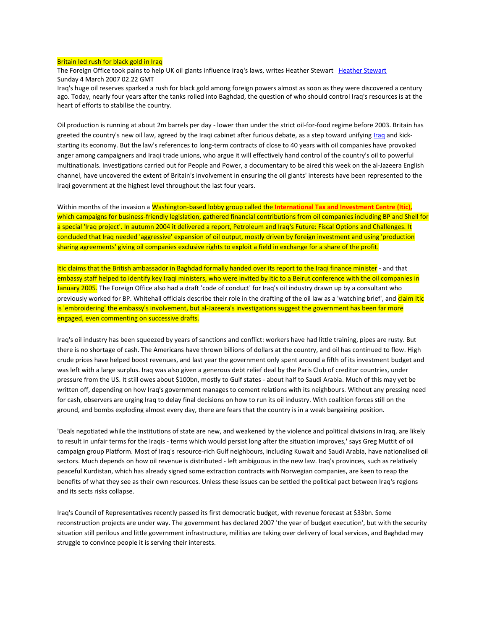#### Britain led rush for black gold in Iraq

The Foreign Office took pains to help UK oil giants influence Iraq's laws, writes [Heather Stewart](http://www.theguardian.com/profile/heatherstewart) Heather Stewart Sunday 4 March 2007 02.22 GMT

Iraq's huge oil reserves sparked a rush for black gold among foreign powers almost as soon as they were discovered a century ago. Today, nearly four years after the tanks rolled into Baghdad, the question of who should control Iraq's resources is at the heart of efforts to stabilise the country.

Oil production is running at about 2m barrels per day - lower than under the strict oil-for-food regime before 2003. Britain has greeted the country's new oil law, agreed by the [Iraq](http://www.theguardian.com/world/iraq)i cabinet after furious debate, as a step toward unifying Iraq and kickstarting its economy. But the law's references to long-term contracts of close to 40 years with oil companies have provoked anger among campaigners and Iraqi trade unions, who argue it will effectively hand control of the country's oil to powerful multinationals. Investigations carried out for People and Power, a documentary to be aired this week on the al-Jazeera English channel, have uncovered the extent of Britain's involvement in ensuring the oil giants' interests have been represented to the Iraqi government at the highest level throughout the last four years.

Within months of the invasion a Washington-based lobby group called the **International Tax and Investment Centre (Itic),** which campaigns for business-friendly legislation, gathered financial contributions from oil companies including BP and Shell for a special 'Iraq project'. In autumn 2004 it delivered a report, Petroleum and Iraq's Future: Fiscal Options and Challenges. It concluded that Iraq needed 'aggressive' expansion of oil output, mostly driven by foreign investment and using 'production sharing agreements' giving oil companies exclusive rights to exploit a field in exchange for a share of the profit.

Itic claims that the British ambassador in Baghdad formally handed over its report to the Iraqi finance minister - and that embassy staff helped to identify key Iraqi ministers, who were invited by Itic to a Beirut conference with the oil companies in January 2005. The Foreign Office also had a draft 'code of conduct' for Iraq's oil industry drawn up by a consultant who previously worked for BP. Whitehall officials describe their role in the drafting of the oil law as a 'watching brief', and claim Itic is 'embroidering' the embassy's involvement, but al-Jazeera's investigations suggest the government has been far more engaged, even commenting on successive drafts.

Iraq's oil industry has been squeezed by years of sanctions and conflict: workers have had little training, pipes are rusty. But there is no shortage of cash. The Americans have thrown billions of dollars at the country, and oil has continued to flow. High crude prices have helped boost revenues, and last year the government only spent around a fifth of its investment budget and was left with a large surplus. Iraq was also given a generous debt relief deal by the Paris Club of creditor countries, under pressure from the US. It still owes about \$100bn, mostly to Gulf states - about half to Saudi Arabia. Much of this may yet be written off, depending on how Iraq's government manages to cement relations with its neighbours. Without any pressing need for cash, observers are urging Iraq to delay final decisions on how to run its oil industry. With coalition forces still on the ground, and bombs exploding almost every day, there are fears that the country is in a weak bargaining position.

'Deals negotiated while the institutions of state are new, and weakened by the violence and political divisions in Iraq, are likely to result in unfair terms for the Iraqis - terms which would persist long after the situation improves,' says Greg Muttit of oil campaign group Platform. Most of Iraq's resource-rich Gulf neighbours, including Kuwait and Saudi Arabia, have nationalised oil sectors. Much depends on how oil revenue is distributed - left ambiguous in the new law. Iraq's provinces, such as relatively peaceful Kurdistan, which has already signed some extraction contracts with Norwegian companies, are keen to reap the benefits of what they see as their own resources. Unless these issues can be settled the political pact between Iraq's regions and its sects risks collapse.

Iraq's Council of Representatives recently passed its first democratic budget, with revenue forecast at \$33bn. Some reconstruction projects are under way. The government has declared 2007 'the year of budget execution', but with the security situation still perilous and little government infrastructure, militias are taking over delivery of local services, and Baghdad may struggle to convince people it is serving their interests.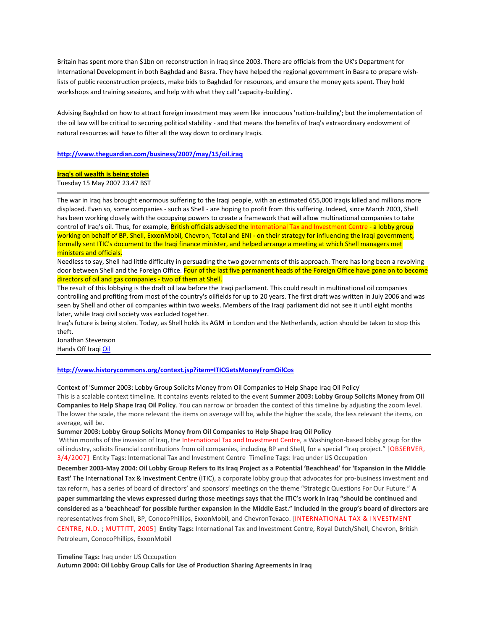Britain has spent more than \$1bn on reconstruction in Iraq since 2003. There are officials from the UK's Department for International Development in both Baghdad and Basra. They have helped the regional government in Basra to prepare wishlists of public reconstruction projects, make bids to Baghdad for resources, and ensure the money gets spent. They hold workshops and training sessions, and help with what they call 'capacity-building'.

Advising Baghdad on how to attract foreign investment may seem like innocuous 'nation-building'; but the implementation of the oil law will be critical to securing political stability - and that means the benefits of Iraq's extraordinary endowment of natural resources will have to filter all the way down to ordinary Iraqis.

**<http://www.theguardian.com/business/2007/may/15/oil.iraq>**

#### **Iraq's oil wealth is being stolen**

Tuesday 15 May 2007 23.47 BST

The war in Iraq has brought enormous suffering to the Iraqi people, with an estimated 655,000 Iraqis killed and millions more displaced. Even so, some companies - such as Shell - are hoping to profit from this suffering. Indeed, since March 2003, Shell has been working closely with the occupying powers to create a framework that will allow multinational companies to take control of Iraq's oil. Thus, for example, British officials advised the International Tax and Investment Centre - a lobby group working on behalf of BP, Shell, ExxonMobil, Chevron, Total and ENI - on their strategy for influencing the Iraqi government, formally sent ITIC's document to the Iraqi finance minister, and helped arrange a meeting at which Shell managers met ministers and officials.

Needless to say, Shell had little difficulty in persuading the two governments of this approach. There has long been a revolving door between Shell and the Foreign Office. Four of the last five permanent heads of the Foreign Office have gone on to become directors of oil and gas companies - two of them at Shell.

The result of this lobbying is the draft oil law before the Iraqi parliament. This could result in multinational oil companies controlling and profiting from most of the country's oilfields for up to 20 years. The first draft was written in July 2006 and was seen by Shell and other oil companies within two weeks. Members of the Iraqi parliament did not see it until eight months later, while Iraqi civil society was excluded together.

Iraq's future is being stolen. Today, as Shell holds its AGM in London and the Netherlands, action should be taken to stop this theft.

Jonathan Stevenson Hands Off Iraqi [Oil](http://www.theguardian.com/business/oil)

#### **<http://www.historycommons.org/context.jsp?item=ITICGetsMoneyFromOilCos>**

Context of 'Summer 2003: Lobby Group Solicits Money from Oil Companies to Help Shape Iraq Oil Policy' This is a scalable context timeline. It contains events related to the event **[Summer 2003: Lobby Group Solicits Money from Oil](http://www.historycommons.org/context.jsp?item=ITICGetsMoneyFromOilCos&scale=0#ITICGetsMoneyFromOilCos)  [Companies to Help Shape Iraq Oil Policy](http://www.historycommons.org/context.jsp?item=ITICGetsMoneyFromOilCos&scale=0#ITICGetsMoneyFromOilCos)**. You can narrow or broaden the context of this timeline by adjusting the zoom level. The lower the scale, the more relevant the items on average will be, while the higher the scale, the less relevant the items, on average, will b[e.](http://www.historycommons.org/context.jsp?item=ITICGetsMoneyFromOilCos&scale=2#ITICGetsMoneyFromOilCos)

**[Summer 2003: Lobby Group Solicits Money from Oil Companies to Help Shape Iraq Oil Policy](http://www.historycommons.org/context.jsp?item=ITICGetsMoneyFromOilCos#ITICGetsMoneyFromOilCos)**

Within months of the invasion of Iraq, the International Tax and Investment Centre, a Washington-based lobby group for the oil industry, solicits financial contributions from oil companies, including BP and Shell, for a special "Iraq project." [\[OBSERVER,](http://www.guardian.co.uk/Iraq/Story/0,,2025963,00.html)  [3/4/2007\]](http://www.guardian.co.uk/Iraq/Story/0,,2025963,00.html) Entity Tags: [International Tax and Investment Centre](http://www.historycommons.org/entity.jsp?entity=international_tax_and_investment_centre_1) Timeline Tags: [Iraq under US Occupation](http://www.historycommons.org/timeline.jsp?timeline=us_occupation_of_iraq_tmln)

**December 2003-[May 2004: Oil Lobby Group Refers to Its Iraq Project as a Potential 'Beachhead' for 'Expansion in the Middle](http://www.historycommons.org/context.jsp?item=ITICStrategy2004#ITICStrategy2004)  [East'](http://www.historycommons.org/context.jsp?item=ITICStrategy2004#ITICStrategy2004)** The International Tax & Investment Centre (ITIC), a corporate lobby group that advocates for pro-business investment and tax reform, has a series of board of directors' and sponsors' meetings on the theme "Strategic Questions For Our Future." **A paper summarizing the views expressed during those meetings says that the ITIC's work in Iraq "should be continued and considered as a 'beachhead' for possible further expansion in the Middle East." Included in the group's board of directors are** representatives from Shell, BP, ConocoPhillips, ExxonMobil, and ChevronTexaco. [\[INTERNATIONAL TAX & INVESTMENT](http://www.iticnet.org/publications/StrategicQuestions.pdf)  [CENTRE, N.D.](http://www.iticnet.org/publications/StrategicQuestions.pdf) [; MUTTITT, 2005\]](http://www.globalpolicy.org/security/oil/2005/crudedesigns.htm) **Entity Tags:** [International Tax and Investment Centre,](http://www.historycommons.org/entity.jsp?entity=international_tax_and_investment_centre_1) [Royal Dutch/Shell,](http://www.historycommons.org/entity.jsp?entity=royal_dutch/shell) [Chevron,](http://www.historycommons.org/entity.jsp?entity=chevron) [British](http://www.historycommons.org/entity.jsp?entity=bp)  [Petroleum,](http://www.historycommons.org/entity.jsp?entity=bp) [ConocoPhillips,](http://www.historycommons.org/entity.jsp?entity=conocophillips) [ExxonMobil](http://www.historycommons.org/entity.jsp?entity=exxonmobil)

**Timeline Tags:** [Iraq under US Occupation](http://www.historycommons.org/timeline.jsp?timeline=us_occupation_of_iraq_tmln)

**[Autumn 2004: Oil Lobby Group Calls for Use of Production Sharing Agreements in Iraq](http://www.historycommons.org/context.jsp?item=ITICCallsForPSAs2004#ITICCallsForPSAs2004)**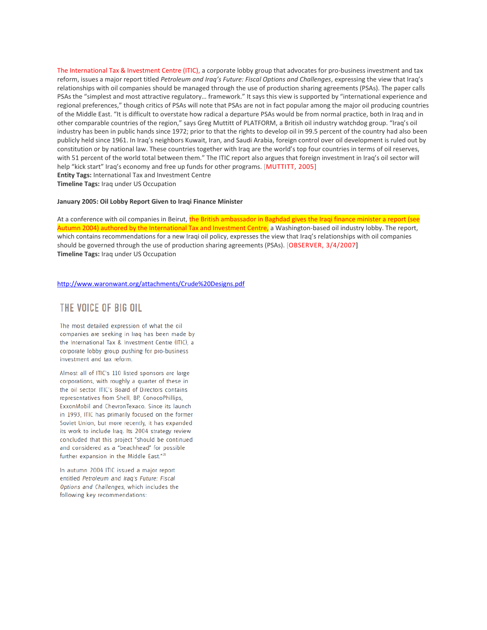The International Tax & Investment Centre (ITIC), a corporate lobby group that advocates for pro-business investment and tax reform, issues a major report titled *Petroleum and Iraq's Future: Fiscal Options and Challenges*, expressing the view that Iraq's relationships with oil companies should be managed through the use of production sharing agreements (PSAs). The paper calls PSAs the "simplest and most attractive regulatory… framework." It says this view is supported by "international experience and regional preferences," though critics of PSAs will note that PSAs are not in fact popular among the major oil producing countries of the Middle East. "It is difficult to overstate how radical a departure PSAs would be from normal practice, both in Iraq and in other comparable countries of the region," says Greg Muttitt of PLATFORM, a British oil industry watchdog group. "Iraq's oil industry has been in public hands since 1972; prior to that the rights to develop oil in 99.5 percent of the country had also been publicly held since 1961. In Iraq's neighbors Kuwait, Iran, and Saudi Arabia, foreign control over oil development is ruled out by constitution or by national law. These countries together with Iraq are the world's top four countries in terms of oil reserves, with 51 percent of the world total between them." The ITIC report also argues that foreign investment in Iraq's oil sector will help "kick start" Iraq's economy and free up funds for other programs. [\[MUTTITT, 2005\]](http://www.globalpolicy.org/security/oil/2005/crudedesigns.htm) **Entity Tags:** [International Tax and Investment Centre](http://www.historycommons.org/entity.jsp?entity=international_tax_and_investment_centre_1) **Timeline Tags:** [Iraq under US Occupation](http://www.historycommons.org/timeline.jsp?timeline=us_occupation_of_iraq_tmln)

#### **[January 2005: Oil Lobby Report Given to Iraqi Finance Minister](http://www.historycommons.org/context.jsp?item=ITICReportGivenToIraqFinMin#ITICReportGivenToIraqFinMin)**

At a conference with oil companies in Beirut, the British ambassador in Baghdad gives the Iraqi finance minister a report (see [Autumn 2004\)](http://www.historycommons.org/item.jsp?item=ITICCallsForPSAs2004) authored by the International Tax and Investment Centre, a Washington-based oil industry lobby. The report, which contains recommendations for a new Iraqi oil policy, expresses the view that Iraq's relationships with oil companies should be governed through the use of production sharing agreements (PSAs). [\[OBSERVER, 3/4/2007\]](http://www.guardian.co.uk/Iraq/Story/0,,2025963,00.html) **Timeline Tags:** [Iraq under US Occupation](http://www.historycommons.org/timeline.jsp?timeline=us_occupation_of_iraq_tmln)

### <http://www.waronwant.org/attachments/Crude%20Designs.pdf>

# THE VOICE OF BIG OIL

The most detailed expression of what the oil companies are seeking in Iraq has been made by the International Tax & Investment Centre (ITIC), a corporate lobby group pushing for pro-business investment and tax reform.

Almost all of ITIC's 110 listed sponsors are large corporations, with roughly a quarter of these in the oil sector. ITIC's Board of Directors contains representatives from Shell, BP, ConocoPhillips, ExxonMobil and ChevronTexaco. Since its launch in 1993, ITIC has primarily focused on the former Soviet Union, but more recently, it has expanded its work to include Iraq. Its 2004 strategy review concluded that this project "should be continued and considered as a "beachhead" for possible further expansion in the Middle East."<sup>28</sup>

In autumn 2004 ITIC issued a major report entitled Petroleum and Iraq's Future: Fiscal Options and Challenges, which includes the following key recommendations: